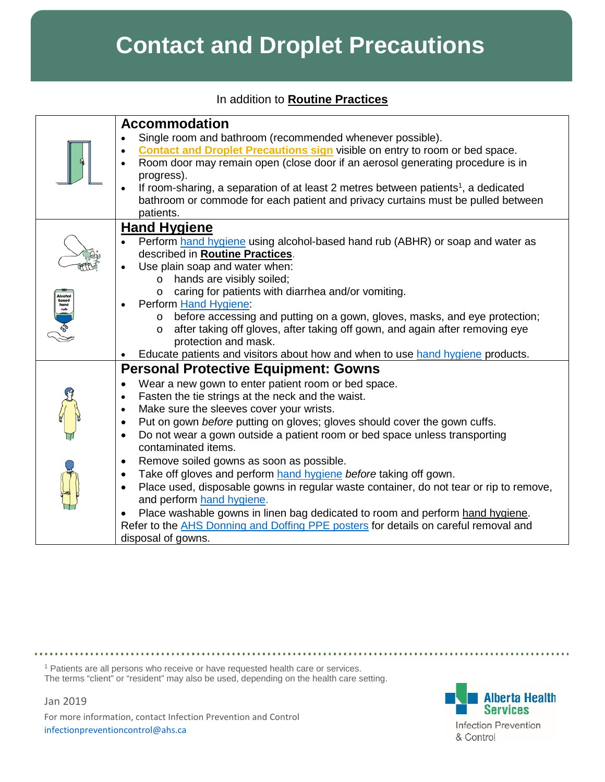## **Contact and Droplet Precautions**

In addition to **[Routine Practices](http://www.ahsweb.ca/ipc/routine-practices-info-sht-z0-rm-ac)**

|                      | <b>Accommodation</b><br>Single room and bathroom (recommended whenever possible).<br><b>Contact and Droplet Precautions sign visible on entry to room or bed space.</b><br>Room door may remain open (close door if an aerosol generating procedure is in<br>progress).<br>If room-sharing, a separation of at least 2 metres between patients <sup>1</sup> , a dedicated<br>bathroom or commode for each patient and privacy curtains must be pulled between<br>patients.                                                                                                                                                                                                                                                                                                                                                                                                                                   |
|----------------------|--------------------------------------------------------------------------------------------------------------------------------------------------------------------------------------------------------------------------------------------------------------------------------------------------------------------------------------------------------------------------------------------------------------------------------------------------------------------------------------------------------------------------------------------------------------------------------------------------------------------------------------------------------------------------------------------------------------------------------------------------------------------------------------------------------------------------------------------------------------------------------------------------------------|
| based<br>hand<br>rub | <b>Hand Hygiene</b><br>Perform hand hygiene using alcohol-based hand rub (ABHR) or soap and water as<br>described in <b>Routine Practices</b> .<br>Use plain soap and water when:<br>hands are visibly soiled;<br>$\circ$<br>o caring for patients with diarrhea and/or vomiting.<br>Perform Hand Hygiene:<br>before accessing and putting on a gown, gloves, masks, and eye protection;<br>$\circ$<br>after taking off gloves, after taking off gown, and again after removing eye<br>$\circ$<br>protection and mask.<br>Educate patients and visitors about how and when to use hand hygiene products.                                                                                                                                                                                                                                                                                                     |
|                      | <b>Personal Protective Equipment: Gowns</b><br>Wear a new gown to enter patient room or bed space.<br>$\bullet$<br>Fasten the tie strings at the neck and the waist.<br>$\bullet$<br>Make sure the sleeves cover your wrists.<br>$\bullet$<br>Put on gown before putting on gloves; gloves should cover the gown cuffs.<br>$\bullet$<br>Do not wear a gown outside a patient room or bed space unless transporting<br>$\bullet$<br>contaminated items.<br>Remove soiled gowns as soon as possible.<br>$\bullet$<br>Take off gloves and perform hand hygiene before taking off gown.<br>$\bullet$<br>Place used, disposable gowns in regular waste container, do not tear or rip to remove,<br>$\bullet$<br>and perform hand hygiene.<br>Place washable gowns in linen bag dedicated to room and perform hand hygiene.<br>Refer to the AHS Donning and Doffing PPE posters for details on careful removal and |
|                      | disposal of gowns.                                                                                                                                                                                                                                                                                                                                                                                                                                                                                                                                                                                                                                                                                                                                                                                                                                                                                           |

<sup>1</sup> Patients are all persons who receive or have requested health care or services. The terms "client" or "resident" may also be used, depending on the health care setting.

Jan 2019

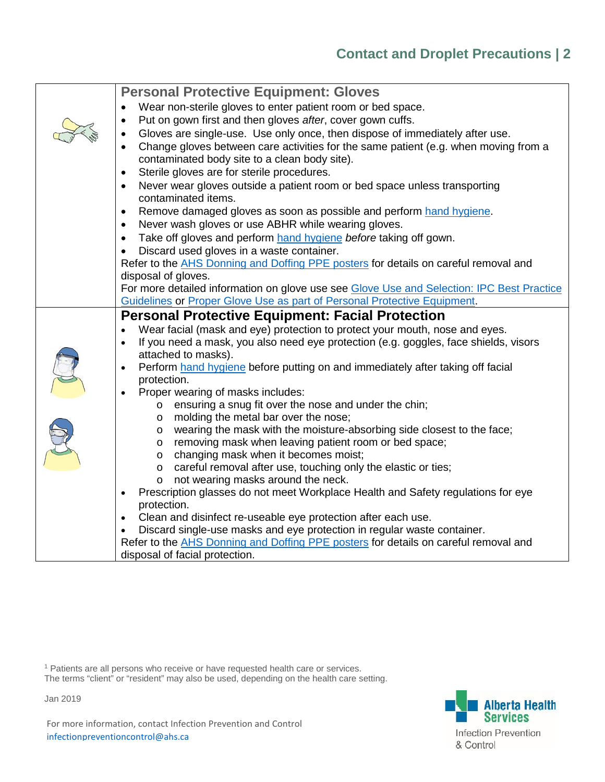| <b>Personal Protective Equipment: Gloves</b>                                                             |
|----------------------------------------------------------------------------------------------------------|
| Wear non-sterile gloves to enter patient room or bed space.                                              |
| Put on gown first and then gloves after, cover gown cuffs.<br>$\bullet$                                  |
| Gloves are single-use. Use only once, then dispose of immediately after use.<br>$\bullet$                |
| Change gloves between care activities for the same patient (e.g. when moving from a<br>$\bullet$         |
| contaminated body site to a clean body site).                                                            |
| Sterile gloves are for sterile procedures.<br>$\bullet$                                                  |
| Never wear gloves outside a patient room or bed space unless transporting<br>$\bullet$                   |
| contaminated items.                                                                                      |
| Remove damaged gloves as soon as possible and perform hand hygiene.<br>$\bullet$                         |
| Never wash gloves or use ABHR while wearing gloves.<br>$\bullet$                                         |
| Take off gloves and perform hand hygiene before taking off gown.<br>$\bullet$                            |
| Discard used gloves in a waste container.<br>$\bullet$                                                   |
| Refer to the AHS Donning and Doffing PPE posters for details on careful removal and                      |
| disposal of gloves.                                                                                      |
| For more detailed information on glove use see Glove Use and Selection: IPC Best Practice                |
| Guidelines or Proper Glove Use as part of Personal Protective Equipment.                                 |
| <b>Personal Protective Equipment: Facial Protection</b>                                                  |
| Wear facial (mask and eye) protection to protect your mouth, nose and eyes.                              |
| If you need a mask, you also need eye protection (e.g. goggles, face shields, visors<br>$\bullet$        |
| attached to masks).                                                                                      |
| Perform hand hygiene before putting on and immediately after taking off facial                           |
| protection.                                                                                              |
| Proper wearing of masks includes:<br>$\bullet$                                                           |
| ensuring a snug fit over the nose and under the chin;<br>$\circ$                                         |
| molding the metal bar over the nose;<br>$\circ$                                                          |
| wearing the mask with the moisture-absorbing side closest to the face;<br>$\circ$                        |
| removing mask when leaving patient room or bed space;<br>$\circ$<br>changing mask when it becomes moist; |
| $\circ$<br>careful removal after use, touching only the elastic or ties;<br>$\circ$                      |
| not wearing masks around the neck.<br>O                                                                  |
| Prescription glasses do not meet Workplace Health and Safety regulations for eye<br>$\bullet$            |
| protection.                                                                                              |
| Clean and disinfect re-useable eye protection after each use.<br>$\bullet$                               |
| Discard single-use masks and eye protection in regular waste container.                                  |
| Refer to the <b>AHS</b> Donning and Doffing PPE posters for details on careful removal and               |
| disposal of facial protection.                                                                           |

<sup>1</sup> Patients are all persons who receive or have requested health care or services. The terms "client" or "resident" may also be used, depending on the health care setting.



Jan 2019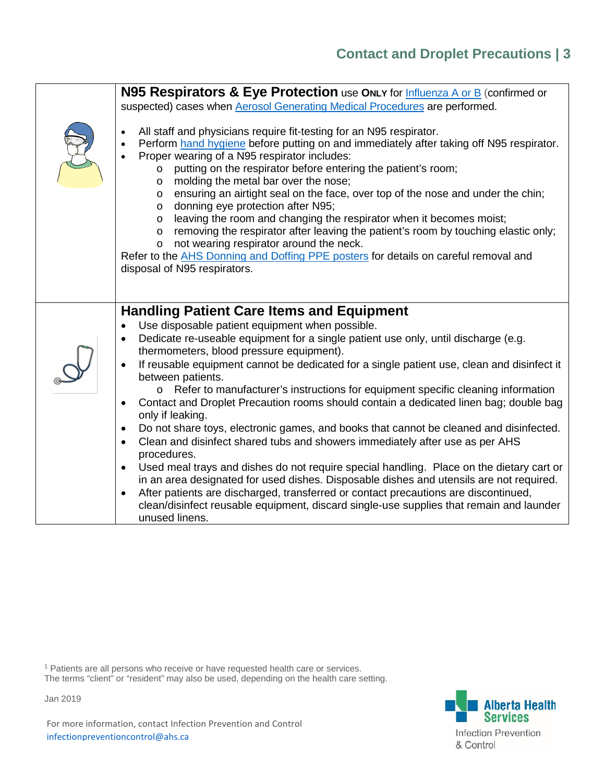## **Contact and Droplet Precautions | 3**

| N95 Respirators & Eye Protection use ONLY for Influenza A or B (confirmed or<br>suspected) cases when Aerosol Generating Medical Procedures are performed.<br>All staff and physicians require fit-testing for an N95 respirator.<br>Perform hand hygiene before putting on and immediately after taking off N95 respirator.<br>$\bullet$<br>Proper wearing of a N95 respirator includes:<br>$\bullet$<br>putting on the respirator before entering the patient's room;<br>$\circ$<br>molding the metal bar over the nose;<br>$\circ$<br>ensuring an airtight seal on the face, over top of the nose and under the chin;<br>$\circ$<br>donning eye protection after N95;<br>$\circ$<br>leaving the room and changing the respirator when it becomes moist;<br>$\circ$<br>removing the respirator after leaving the patient's room by touching elastic only;<br>$\circ$<br>not wearing respirator around the neck.<br>$\circ$<br>Refer to the AHS Donning and Doffing PPE posters for details on careful removal and<br>disposal of N95 respirators.                                                                                                                                                                                    |
|----------------------------------------------------------------------------------------------------------------------------------------------------------------------------------------------------------------------------------------------------------------------------------------------------------------------------------------------------------------------------------------------------------------------------------------------------------------------------------------------------------------------------------------------------------------------------------------------------------------------------------------------------------------------------------------------------------------------------------------------------------------------------------------------------------------------------------------------------------------------------------------------------------------------------------------------------------------------------------------------------------------------------------------------------------------------------------------------------------------------------------------------------------------------------------------------------------------------------------------|
|                                                                                                                                                                                                                                                                                                                                                                                                                                                                                                                                                                                                                                                                                                                                                                                                                                                                                                                                                                                                                                                                                                                                                                                                                                        |
| <b>Handling Patient Care Items and Equipment</b><br>Use disposable patient equipment when possible.<br>Dedicate re-useable equipment for a single patient use only, until discharge (e.g.<br>thermometers, blood pressure equipment).<br>If reusable equipment cannot be dedicated for a single patient use, clean and disinfect it<br>$\bullet$<br>between patients.<br>Refer to manufacturer's instructions for equipment specific cleaning information<br>$\circ$<br>Contact and Droplet Precaution rooms should contain a dedicated linen bag; double bag<br>$\bullet$<br>only if leaking.<br>Do not share toys, electronic games, and books that cannot be cleaned and disinfected.<br>$\bullet$<br>Clean and disinfect shared tubs and showers immediately after use as per AHS<br>$\bullet$<br>procedures.<br>Used meal trays and dishes do not require special handling. Place on the dietary cart or<br>$\bullet$<br>in an area designated for used dishes. Disposable dishes and utensils are not required.<br>After patients are discharged, transferred or contact precautions are discontinued,<br>$\bullet$<br>clean/disinfect reusable equipment, discard single-use supplies that remain and launder<br>unused linens. |

<sup>1</sup> Patients are all persons who receive or have requested health care or services. The terms "client" or "resident" may also be used, depending on the health care setting.



Jan 2019